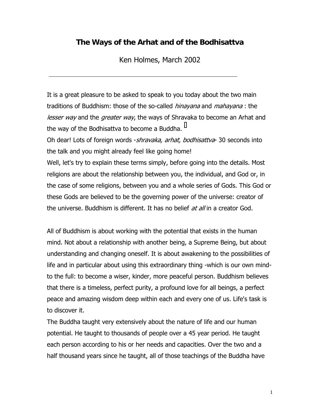## **The Ways of the Arhat and of the Bodhisattva**

Ken Holmes, March 2002

 $\ddot{\phantom{a}}$ 

It is a great pleasure to be asked to speak to you today about the two main traditions of Buddhism: those of the so-called *hinayana* and *mahayana* : the lesser way and the greater way, the ways of Shravaka to become an Arhat and the way of the Bodh[i](#page-22-0)sattva to become a Buddha.<sup>i</sup>

Oh dear! Lots of foreign words *-shravaka, arhat, bodhisattva*- 30 seconds into the talk and you might already feel like going home!

Well, let's try to explain these terms simply, before going into the details. Most religions are about the relationship between you, the individual, and God or, in the case of some religions, between you and a whole series of Gods. This God or these Gods are believed to be the governing power of the universe: creator of the universe. Buddhism is different. It has no belief *at all* in a creator God.

All of Buddhism is about working with the potential that exists in the human mind. Not about a relationship with another being, a Supreme Being, but about understanding and changing oneself. It is about awakening to the possibilities of life and in particular about using this extraordinary thing -which is our own mindto the full: to become a wiser, kinder, more peaceful person. Buddhism believes that there is a timeless, perfect purity, a profound love for all beings, a perfect peace and amazing wisdom deep within each and every one of us. Life's task is to discover it.

The Buddha taught very extensively about the nature of life and our human potential. He taught to thousands of people over a 45 year period. He taught each person according to his or her needs and capacities. Over the two and a half thousand years since he taught, all of those teachings of the Buddha have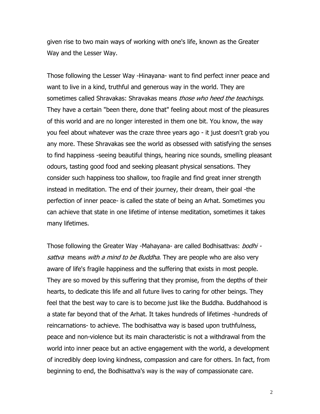given rise to two main ways of working with one's life, known as the Greater Way and the Lesser Way.

Those following the Lesser Way -Hinayana- want to find perfect inner peace and want to live in a kind, truthful and generous way in the world. They are sometimes called Shravakas: Shravakas means those who heed the teachings. They have a certain "been there, done that" feeling about most of the pleasures of this world and are no longer interested in them one bit. You know, the way you feel about whatever was the craze three years ago - it just doesn't grab you any more. These Shravakas see the world as obsessed with satisfying the senses to find happiness -seeing beautiful things, hearing nice sounds, smelling pleasant odours, tasting good food and seeking pleasant physical sensations. They consider such happiness too shallow, too fragile and find great inner strength instead in meditation. The end of their journey, their dream, their goal -the perfection of inner peace- is called the state of being an Arhat. Sometimes you can achieve that state in one lifetime of intense meditation, sometimes it takes many lifetimes.

Those following the Greater Way -Mahayana- are called Bodhisattvas: *bodhi* sattva means with a mind to be Buddha. They are people who are also very aware of life's fragile happiness and the suffering that exists in most people. They are so moved by this suffering that they promise, from the depths of their hearts, to dedicate this life and all future lives to caring for other beings. They feel that the best way to care is to become just like the Buddha. Buddhahood is a state far beyond that of the Arhat. It takes hundreds of lifetimes -hundreds of reincarnations- to achieve. The bodhisattva way is based upon truthfulness, peace and non-violence but its main characteristic is not a withdrawal from the world into inner peace but an active engagement with the world, a development of incredibly deep loving kindness, compassion and care for others. In fact, from beginning to end, the Bodhisattva's way is the way of compassionate care.

2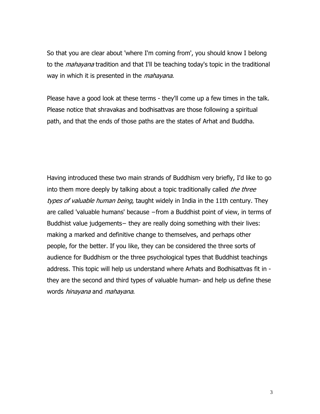So that you are clear about 'where I'm coming from', you should know I belong to the *mahayana* tradition and that I'll be teaching today's topic in the traditional way in which it is presented in the *mahayana*.

Please have a good look at these terms - they'll come up a few times in the talk. Please notice that shravakas and bodhisattvas are those following a spiritual path, and that the ends of those paths are the states of Arhat and Buddha.

Having introduced these two main strands of Buddhism very briefly, I'd like to go into them more deeply by talking about a topic traditionally called *the three* types of valuable human being, taught widely in India in the 11th century. They are called 'valuable humans' because −from a Buddhist point of view, in terms of Buddhist value judgements− they are really doing something with their lives: making a marked and definitive change to themselves, and perhaps other people, for the better. If you like, they can be considered the three sorts of audience for Buddhism or the three psychological types that Buddhist teachings address. This topic will help us understand where Arhats and Bodhisattvas fit in they are the second and third types of valuable human- and help us define these words hinayana and mahayana.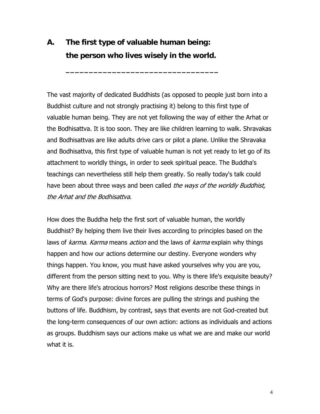## **A. The first type of valuable human being: the person who lives wisely in the world.**

**\_\_\_\_\_\_\_\_\_\_\_\_\_\_\_\_\_\_\_\_\_\_\_\_\_\_\_\_\_\_\_\_\_** 

The vast majority of dedicated Buddhists (as opposed to people just born into a Buddhist culture and not strongly practising it) belong to this first type of valuable human being. They are not yet following the way of either the Arhat or the Bodhisattva. It is too soon. They are like children learning to walk. Shravakas and Bodhisattvas are like adults drive cars or pilot a plane. Unlike the Shravaka and Bodhisattva, this first type of valuable human is not yet ready to let go of its attachment to worldly things, in order to seek spiritual peace. The Buddha's teachings can nevertheless still help them greatly. So really today's talk could have been about three ways and been called the ways of the worldly Buddhist, the Arhat and the Bodhisattva.

How does the Buddha help the first sort of valuable human, the worldly Buddhist? By helping them live their lives according to principles based on the laws of *karma. Karma* means *action* and the laws of *karma* explain why things happen and how our actions determine our destiny. Everyone wonders why things happen. You know, you must have asked yourselves why you are you, different from the person sitting next to you. Why is there life's exquisite beauty? Why are there life's atrocious horrors? Most religions describe these things in terms of God's purpose: divine forces are pulling the strings and pushing the buttons of life. Buddhism, by contrast, says that events are not God-created but the long-term consequences of our own action: actions as individuals and actions as groups. Buddhism says our actions make us what we are and make our world what it is.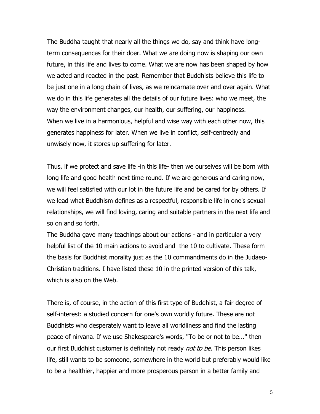The Buddha taught that nearly all the things we do, say and think have longterm consequences for their doer. What we are doing now is shaping our own future, in this life and lives to come. What we are now has been shaped by how we acted and reacted in the past. Remember that Buddhists believe this life to be just one in a long chain of lives, as we reincarnate over and over again. What we do in this life generates all the details of our future lives: who we meet, the way the environment changes, our health, our suffering, our happiness. When we live in a harmonious, helpful and wise way with each other now, this generates happiness for later. When we live in conflict, self-centredly and unwisely now, it stores up suffering for later.

Thus, if we protect and save life -in this life- then we ourselves will be born with long life and good health next time round. If we are generous and caring now, we will feel satisfied with our lot in the future life and be cared for by others. If we lead what Buddhism defines as a respectful, responsible life in one's sexual relationships, we will find loving, caring and suitable partners in the next life and so on and so forth.

The Buddha gave many teachings about our actions - and in particular a very helpful list of the 10 main actions to avoid and the 10 to cultivate. These form the basis for Buddhist morality just as the 10 commandments do in the Judaeo-Christian traditions. I have listed these 10 in the printed version of this talk, which is also on the Web.

There is, of course, in the action of this first type of Buddhist, a fair degree of self-interest: a studied concern for one's own worldly future. These are not Buddhists who desperately want to leave all worldliness and find the lasting peace of nirvana. If we use Shakespeare's words, "To be or not to be..." then our first Buddhist customer is definitely not ready *not to be*. This person likes life, still wants to be someone, somewhere in the world but preferably would like to be a healthier, happier and more prosperous person in a better family and

5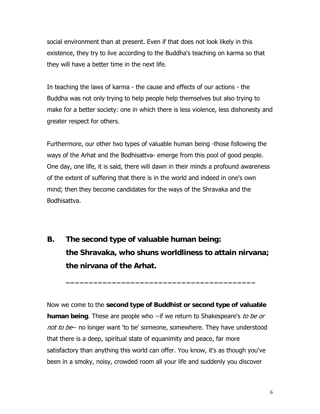social environment than at present. Even if that does not look likely in this existence, they try to live according to the Buddha's teaching on karma so that they will have a better time in the next life.

In teaching the laws of karma - the cause and effects of our actions - the Buddha was not only trying to help people help themselves but also trying to make for a better society: one in which there is less violence, less dishonesty and greater respect for others.

Furthermore, our other two types of valuable human being -those following the ways of the Arhat and the Bodhisattva- emerge from this pool of good people. One day, one life, it is said, there will dawn in their minds a profound awareness of the extent of suffering that there is in the world and indeed in one's own mind; then they become candidates for the ways of the Shravaka and the Bodhisattva.

**B. The second type of valuable human being: the Shravaka, who shuns worldliness to attain nirvana; the nirvana of the Arhat.** 

 **\_\_\_\_\_\_\_\_\_\_\_\_\_\_\_\_\_\_\_\_\_\_\_\_\_\_\_\_\_\_\_\_\_\_\_\_\_\_\_\_\_**

Now we come to the **second type of Buddhist or second type of valuable human being**. These are people who −if we return to Shakespeare's to be or not to be– no longer want 'to be' someone, somewhere. They have understood that there is a deep, spiritual state of equanimity and peace, far more satisfactory than anything this world can offer. You know, it's as though you've been in a smoky, noisy, crowded room all your life and suddenly you discover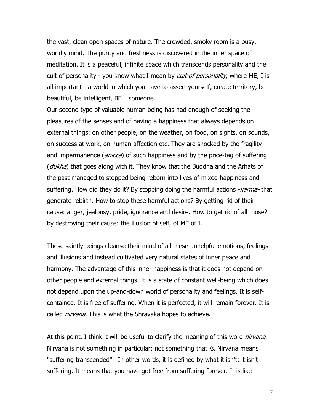the vast, clean open spaces of nature. The crowded, smoky room is a busy, worldly mind. The purity and freshness is discovered in the inner space of meditation. It is a peaceful, infinite space which transcends personality and the cult of personality - you know what I mean by *cult of personality*, where ME, I is all important - a world in which you have to assert yourself, create territory, be beautiful, be intelligent, BE …someone.

Our second type of valuable human being has had enough of seeking the pleasures of the senses and of having a happiness that always depends on external things: on other people, on the weather, on food, on sights, on sounds, on success at work, on human affection etc. They are shocked by the fragility and impermanence (*anicca*) of such happiness and by the price-tag of suffering (*dukha*) that goes along with it. They know that the Buddha and the Arhats of the past managed to stopped being reborn into lives of mixed happiness and suffering. How did they do it? By stopping doing the harmful actions - karma- that generate rebirth. How to stop these harmful actions? By getting rid of their cause: anger, jealousy, pride, ignorance and desire. How to get rid of all those? by destroying their cause: the illusion of self, of ME of I.

These saintly beings cleanse their mind of all these unhelpful emotions, feelings and illusions and instead cultivated very natural states of inner peace and harmony. The advantage of this inner happiness is that it does not depend on other people and external things. It is a state of constant well-being which does not depend upon the up-and-down world of personality and feelings. It is selfcontained. It is free of suffering. When it is perfected, it will remain forever. It is called *nirvana*. This is what the Shravaka hopes to achieve.

At this point, I think it will be useful to clarify the meaning of this word *nirvana*. Nirvana is not something in particular: not something that  $is$ . Nirvana means "suffering transcended". In other words, it is defined by what it isn't: it isn't suffering. It means that you have got free from suffering forever. It is like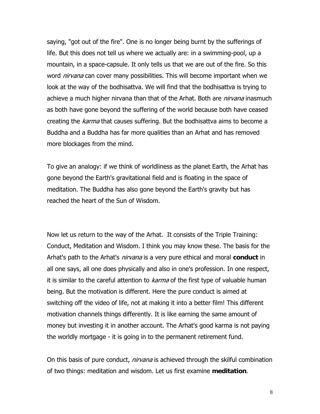saying, "got out of the fire". One is no longer being burnt by the sufferings of life. But this does not tell us where we actually are: in a swimming-pool, up a mountain, in a space-capsule. It only tells us that we are out of the fire. So this word *nirvana* can cover many possibilities. This will become important when we look at the way of the bodhisattva. We will find that the bodhisattva is trying to achieve a much higher nirvana than that of the Arhat. Both are *nirvana* inasmuch as both have gone beyond the suffering of the world because both have ceased creating the *karma* that causes suffering. But the bodhisattva aims to become a Buddha and a Buddha has far more qualities than an Arhat and has removed more blockages from the mind.

To give an analogy: if we think of worldliness as the planet Earth, the Arhat has gone beyond the Earth's gravitational field and is floating in the space of meditation. The Buddha has also gone beyond the Earth's gravity but has reached the heart of the Sun of Wisdom.

Now let us return to the way of the Arhat. It consists of the Triple Training: Conduct, Meditation and Wisdom. I think you may know these. The basis for the Arhat's path to the Arhat's nirvana is a very pure ethical and moral **conduct** in all one says, all one does physically and also in one's profession. In one respect, it is similar to the careful attention to *karma* of the first type of valuable human being. But the motivation is different. Here the pure conduct is aimed at switching off the video of life, not at making it into a better film! This different motivation channels things differently. It is like earning the same amount of money but investing it in another account. The Arhat's good karma is not paying the worldly mortgage - it is going in to the permanent retirement fund.

On this basis of pure conduct, *nirvana* is achieved through the skilful combination of two things: meditation and wisdom. Let us first examine **meditation**.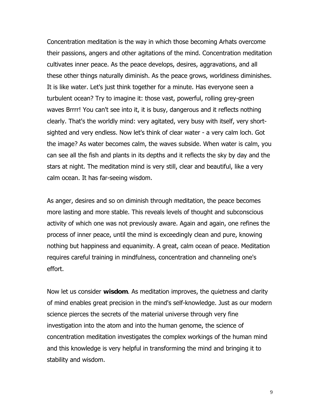Concentration meditation is the way in which those becoming Arhats overcome their passions, angers and other agitations of the mind. Concentration meditation cultivates inner peace. As the peace develops, desires, aggravations, and all these other things naturally diminish. As the peace grows, worldiness diminishes. It is like water. Let's just think together for a minute. Has everyone seen a turbulent ocean? Try to imagine it: those vast, powerful, rolling grey-green waves Brrrr! You can't see into it, it is busy, dangerous and it reflects nothing clearly. That's the worldly mind: very agitated, very busy with itself, very shortsighted and very endless. Now let's think of clear water - a very calm loch. Got the image? As water becomes calm, the waves subside. When water is calm, you can see all the fish and plants in its depths and it reflects the sky by day and the stars at night. The meditation mind is very still, clear and beautiful, like a very calm ocean. It has far-seeing wisdom.

As anger, desires and so on diminish through meditation, the peace becomes more lasting and more stable. This reveals levels of thought and subconscious activity of which one was not previously aware. Again and again, one refines the process of inner peace, until the mind is exceedingly clean and pure, knowing nothing but happiness and equanimity. A great, calm ocean of peace. Meditation requires careful training in mindfulness, concentration and channeling one's effort.

Now let us consider **wisdom**. As meditation improves, the quietness and clarity of mind enables great precision in the mind's self-knowledge. Just as our modern science pierces the secrets of the material universe through very fine investigation into the atom and into the human genome, the science of concentration meditation investigates the complex workings of the human mind and this knowledge is very helpful in transforming the mind and bringing it to stability and wisdom.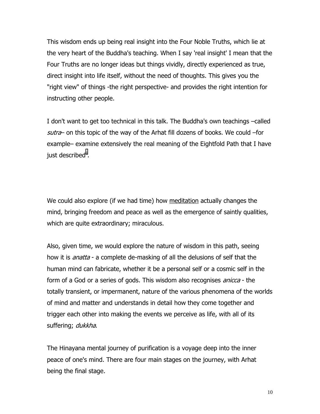This wisdom ends up being real insight into the Four Noble Truths, which lie at the very heart of the Buddha's teaching. When I say 'real insight' I mean that the Four Truths are no longer ideas but things vividly, directly experienced as true, direct insight into life itself, without the need of thoughts. This gives you the "right view" of things -the right perspective- and provides the right intention for instructing other people.

I don't want to get too technical in this talk. The Buddha's own teachings –called sutra– on this topic of the way of the Arhat fill dozens of books. We could –for example– examine extensively the real meaning of the Eightfold Path that I have just described<sup>[ii](#page-22-0)</sup>.

We could also explore (if we had time) how meditation actually changes the mind, bringing freedom and peace as well as the emergence of saintly qualities, which are quite extraordinary; miraculous.

Also, given time, we would explore the nature of wisdom in this path, seeing how it is *anatta* - a complete de-masking of all the delusions of self that the human mind can fabricate, whether it be a personal self or a cosmic self in the form of a God or a series of gods. This wisdom also recognises *anicca* - the totally transient, or impermanent, nature of the various phenomena of the worlds of mind and matter and understands in detail how they come together and trigger each other into making the events we perceive as life, with all of its suffering; dukkha.

The Hinayana mental journey of purification is a voyage deep into the inner peace of one's mind. There are four main stages on the journey, with Arhat being the final stage.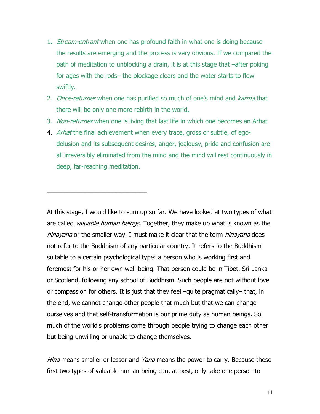- 1. *Stream-entrant* when one has profound faith in what one is doing because the results are emerging and the process is very obvious. If we compared the path of meditation to unblocking a drain, it is at this stage that –after poking for ages with the rods– the blockage clears and the water starts to flow swiftly.
- 2. *Once-returner* when one has purified so much of one's mind and *karma* that there will be only one more rebirth in the world.
- 3. Non-returner when one is living that last life in which one becomes an Arhat
- 4. *Arhat* the final achievement when every trace, gross or subtle, of egodelusion and its subsequent desires, anger, jealousy, pride and confusion are all irreversibly eliminated from the mind and the mind will rest continuously in deep, far-reaching meditation.

\_\_\_\_\_\_\_\_\_\_\_\_\_\_\_\_\_\_\_\_\_\_\_\_\_\_\_\_\_

At this stage, I would like to sum up so far. We have looked at two types of what are called *valuable human beings*. Together, they make up what is known as the hinayana or the smaller way. I must make it clear that the term hinayana does not refer to the Buddhism of any particular country. It refers to the Buddhism suitable to a certain psychological type: a person who is working first and foremost for his or her own well-being. That person could be in Tibet, Sri Lanka or Scotland, following any school of Buddhism. Such people are not without love or compassion for others. It is just that they feel –quite pragmatically– that, in the end, we cannot change other people that much but that we can change ourselves and that self-transformation is our prime duty as human beings. So much of the world's problems come through people trying to change each other but being unwilling or unable to change themselves.

Hina means smaller or lesser and Yana means the power to carry. Because these first two types of valuable human being can, at best, only take one person to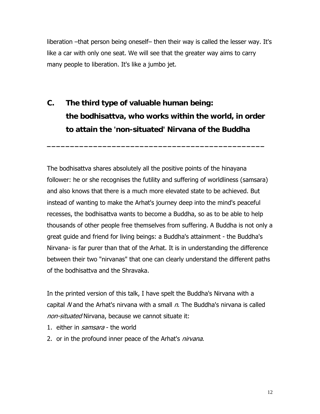liberation –that person being oneself– then their way is called the lesser way. It's like a car with only one seat. We will see that the greater way aims to carry many people to liberation. It's like a jumbo jet.

**C. The third type of valuable human being: the bodhisattva, who works within the world, in order to attain the 'non-situated' Nirvana of the Buddha** 

**\_\_\_\_\_\_\_\_\_\_\_\_\_\_\_\_\_\_\_\_\_\_\_\_\_\_\_\_\_\_\_\_\_\_\_\_\_\_\_\_\_\_\_\_\_\_\_**

The bodhisattva shares absolutely all the positive points of the hinayana follower: he or she recognises the futility and suffering of worldliness (samsara) and also knows that there is a much more elevated state to be achieved. But instead of wanting to make the Arhat's journey deep into the mind's peaceful recesses, the bodhisattva wants to become a Buddha, so as to be able to help thousands of other people free themselves from suffering. A Buddha is not only a great guide and friend for living beings: a Buddha's attainment - the Buddha's Nirvana- is far purer than that of the Arhat. It is in understanding the difference between their two "nirvanas" that one can clearly understand the different paths of the bodhisattva and the Shravaka.

In the printed version of this talk, I have spelt the Buddha's Nirvana with a capital N and the Arhat's nirvana with a small  $n$ . The Buddha's nirvana is called non-situated Nirvana, because we cannot situate it:

- 1. either in *samsara* the world
- 2. or in the profound inner peace of the Arhat's *nirvana*.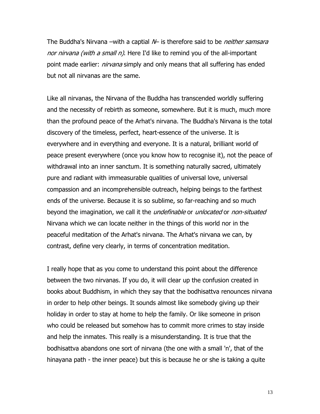The Buddha's Nirvana –with a captial  $\mathcal W$  is therefore said to be *neither samsara* nor nirvana (with a small n). Here I'd like to remind you of the all-important point made earlier: *nirvana* simply and only means that all suffering has ended but not all nirvanas are the same.

Like all nirvanas, the Nirvana of the Buddha has transcended worldly suffering and the necessity of rebirth as someone, somewhere. But it is much, much more than the profound peace of the Arhat's nirvana. The Buddha's Nirvana is the total discovery of the timeless, perfect, heart-essence of the universe. It is everywhere and in everything and everyone. It is a natural, brilliant world of peace present everywhere (once you know how to recognise it), not the peace of withdrawal into an inner sanctum. It is something naturally sacred, ultimately pure and radiant with immeasurable qualities of universal love, universal compassion and an incomprehensible outreach, helping beings to the farthest ends of the universe. Because it is so sublime, so far-reaching and so much beyond the imagination, we call it the *undefinable* or *unlocated* or *non-situated* Nirvana which we can locate neither in the things of this world nor in the peaceful meditation of the Arhat's nirvana. The Arhat's nirvana we can, by contrast, define very clearly, in terms of concentration meditation.

I really hope that as you come to understand this point about the difference between the two nirvanas. If you do, it will clear up the confusion created in books about Buddhism, in which they say that the bodhisattva renounces nirvana in order to help other beings. It sounds almost like somebody giving up their holiday in order to stay at home to help the family. Or like someone in prison who could be released but somehow has to commit more crimes to stay inside and help the inmates. This really is a misunderstanding. It is true that the bodhisattva abandons one sort of nirvana (the one with a small 'n', that of the hinayana path - the inner peace) but this is because he or she is taking a quite

13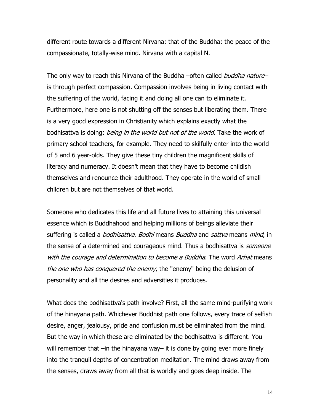different route towards a different Nirvana: that of the Buddha: the peace of the compassionate, totally-wise mind. Nirvana with a capital N.

The only way to reach this Nirvana of the Buddha –often called buddha nature– is through perfect compassion. Compassion involves being in living contact with the suffering of the world, facing it and doing all one can to eliminate it. Furthermore, here one is not shutting off the senses but liberating them. There is a very good expression in Christianity which explains exactly what the bodhisattva is doing: *being in the world but not of the world*. Take the work of primary school teachers, for example. They need to skilfully enter into the world of 5 and 6 year-olds. They give these tiny children the magnificent skills of literacy and numeracy. It doesn't mean that they have to become childish themselves and renounce their adulthood. They operate in the world of small children but are not themselves of that world.

Someone who dedicates this life and all future lives to attaining this universal essence which is Buddhahood and helping millions of beings alleviate their suffering is called a *bodhisattva. Bodhi* means *Buddha* and *sattva* means *mind*, in the sense of a determined and courageous mind. Thus a bodhisattva is *someone* with the courage and determination to become a Buddha. The word Arhat means the one who has conquered the enemy, the "enemy" being the delusion of personality and all the desires and adversities it produces.

What does the bodhisattva's path involve? First, all the same mind-purifying work of the hinayana path. Whichever Buddhist path one follows, every trace of selfish desire, anger, jealousy, pride and confusion must be eliminated from the mind. But the way in which these are eliminated by the bodhisattva is different. You will remember that –in the hinayana way– it is done by going ever more finely into the tranquil depths of concentration meditation. The mind draws away from the senses, draws away from all that is worldly and goes deep inside. The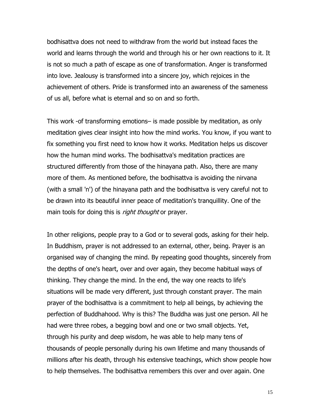bodhisattva does not need to withdraw from the world but instead faces the world and learns through the world and through his or her own reactions to it. It is not so much a path of escape as one of transformation. Anger is transformed into love. Jealousy is transformed into a sincere joy, which rejoices in the achievement of others. Pride is transformed into an awareness of the sameness of us all, before what is eternal and so on and so forth.

This work -of transforming emotions– is made possible by meditation, as only meditation gives clear insight into how the mind works. You know, if you want to fix something you first need to know how it works. Meditation helps us discover how the human mind works. The bodhisattva's meditation practices are structured differently from those of the hinayana path. Also, there are many more of them. As mentioned before, the bodhisattva is avoiding the nirvana (with a small 'n') of the hinayana path and the bodhisattva is very careful not to be drawn into its beautiful inner peace of meditation's tranquillity. One of the main tools for doing this is *right thought* or prayer.

In other religions, people pray to a God or to several gods, asking for their help. In Buddhism, prayer is not addressed to an external, other, being. Prayer is an organised way of changing the mind. By repeating good thoughts, sincerely from the depths of one's heart, over and over again, they become habitual ways of thinking. They change the mind. In the end, the way one reacts to life's situations will be made very different, just through constant prayer. The main prayer of the bodhisattva is a commitment to help all beings, by achieving the perfection of Buddhahood. Why is this? The Buddha was just one person. All he had were three robes, a begging bowl and one or two small objects. Yet, through his purity and deep wisdom, he was able to help many tens of thousands of people personally during his own lifetime and many thousands of millions after his death, through his extensive teachings, which show people how to help themselves. The bodhisattva remembers this over and over again. One

15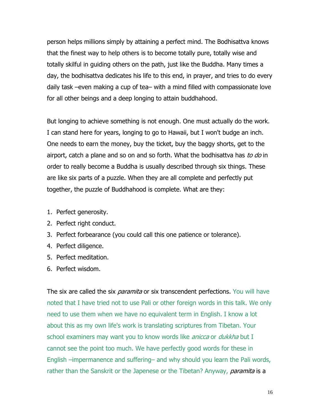person helps millions simply by attaining a perfect mind. The Bodhisattva knows that the finest way to help others is to become totally pure, totally wise and totally skilful in guiding others on the path, just like the Buddha. Many times a day, the bodhisattva dedicates his life to this end, in prayer, and tries to do every daily task –even making a cup of tea– with a mind filled with compassionate love for all other beings and a deep longing to attain buddhahood.

But longing to achieve something is not enough. One must actually do the work. I can stand here for years, longing to go to Hawaii, but I won't budge an inch. One needs to earn the money, buy the ticket, buy the baggy shorts, get to the airport, catch a plane and so on and so forth. What the bodhisattva has to do in order to really become a Buddha is usually described through six things. These are like six parts of a puzzle. When they are all complete and perfectly put together, the puzzle of Buddhahood is complete. What are they:

- 1. Perfect generosity.
- 2. Perfect right conduct.
- 3. Perfect forbearance (you could call this one patience or tolerance).
- 4. Perfect diligence.
- 5. Perfect meditation.
- 6. Perfect wisdom.

The six are called the six *paramita* or six transcendent perfections. You will have noted that I have tried not to use Pali or other foreign words in this talk. We only need to use them when we have no equivalent term in English. I know a lot about this as my own life's work is translating scriptures from Tibetan. Your school examiners may want you to know words like *anicca* or *dukkha* but I cannot see the point too much. We have perfectly good words for these in English –impermanence and suffering– and why should you learn the Pali words, rather than the Sanskrit or the Japenese or the Tibetan? Anyway, *paramita* is a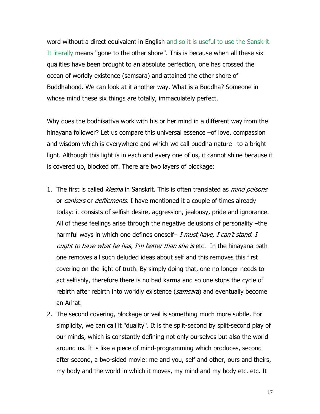word without a direct equivalent in English and so it is useful to use the Sanskrit. It literally means "gone to the other shore". This is because when all these six qualities have been brought to an absolute perfection, one has crossed the ocean of worldly existence (samsara) and attained the other shore of Buddhahood. We can look at it another way. What is a Buddha? Someone in whose mind these six things are totally, immaculately perfect.

Why does the bodhisattva work with his or her mind in a different way from the hinayana follower? Let us compare this universal essence –of love, compassion and wisdom which is everywhere and which we call buddha nature– to a bright light. Although this light is in each and every one of us, it cannot shine because it is covered up, blocked off. There are two layers of blockage:

- 1. The first is called *klesha* in Sanskrit. This is often translated as *mind poisons* or *cankers* or *defilements*. I have mentioned it a couple of times already today: it consists of selfish desire, aggression, jealousy, pride and ignorance. All of these feelings arise through the negative delusions of personality –the harmful ways in which one defines oneself- I must have, I can't stand, I ought to have what he has, I'm better than she is etc. In the hinayana path one removes all such deluded ideas about self and this removes this first covering on the light of truth. By simply doing that, one no longer needs to act selfishly, therefore there is no bad karma and so one stops the cycle of rebirth after rebirth into worldly existence (samsara) and eventually become an Arhat.
- 2. The second covering, blockage or veil is something much more subtle. For simplicity, we can call it "duality". It is the split-second by split-second play of our minds, which is constantly defining not only ourselves but also the world around us. It is like a piece of mind-programming which produces, second after second, a two-sided movie: me and you, self and other, ours and theirs, my body and the world in which it moves, my mind and my body etc. etc. It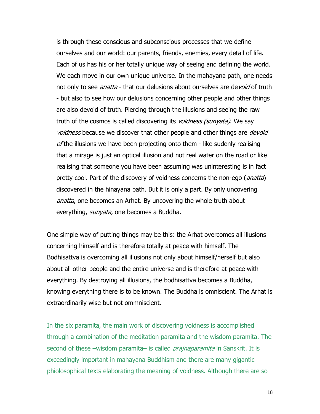is through these conscious and subconscious processes that we define ourselves and our world: our parents, friends, enemies, every detail of life. Each of us has his or her totally unique way of seeing and defining the world. We each move in our own unique universe. In the mahayana path, one needs not only to see *anatta* - that our delusions about ourselves are devoid of truth - but also to see how our delusions concerning other people and other things are also devoid of truth. Piercing through the illusions and seeing the raw truth of the cosmos is called discovering its *voidness (sunyata)*. We say voidness because we discover that other people and other things are *devoid*  $of$  the illusions we have been projecting onto them - like sudenly realising that a mirage is just an optical illusion and not real water on the road or like realising that someone you have been assuming was uninteresting is in fact pretty cool. Part of the discovery of voidness concerns the non-ego (*anatta*) discovered in the hinayana path. But it is only a part. By only uncovering anatta, one becomes an Arhat. By uncovering the whole truth about everything, *sunyata*, one becomes a Buddha.

One simple way of putting things may be this: the Arhat overcomes all illusions concerning himself and is therefore totally at peace with himself. The Bodhisattva is overcoming all illusions not only about himself/herself but also about all other people and the entire universe and is therefore at peace with everything. By destroying all illusions, the bodhisattva becomes a Buddha, knowing everything there is to be known. The Buddha is omniscient. The Arhat is extraordinarily wise but not ommniscient.

In the six paramita, the main work of discovering voidness is accomplished through a combination of the meditation paramita and the wisdom paramita. The second of these –wisdom paramita– is called *prajnaparamita* in Sanskrit. It is exceedingly important in mahayana Buddhism and there are many gigantic phiolosophical texts elaborating the meaning of voidness. Although there are so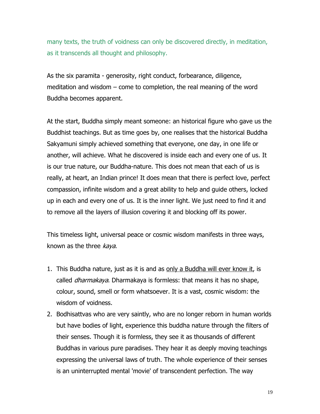many texts, the truth of voidness can only be discovered directly, in meditation, as it transcends all thought and philosophy.

As the six paramita - generosity, right conduct, forbearance, diligence, meditation and wisdom – come to completion, the real meaning of the word Buddha becomes apparent.

At the start, Buddha simply meant someone: an historical figure who gave us the Buddhist teachings. But as time goes by, one realises that the historical Buddha Sakyamuni simply achieved something that everyone, one day, in one life or another, will achieve. What he discovered is inside each and every one of us. It is our true nature, our Buddha-nature. This does not mean that each of us is really, at heart, an Indian prince! It does mean that there is perfect love, perfect compassion, infinite wisdom and a great ability to help and guide others, locked up in each and every one of us. It is the inner light. We just need to find it and to remove all the layers of illusion covering it and blocking off its power.

This timeless light, universal peace or cosmic wisdom manifests in three ways, known as the three *kaya*.

- 1. This Buddha nature, just as it is and as only a Buddha will ever know it, is called *dharmakaya*. Dharmakaya is formless: that means it has no shape, colour, sound, smell or form whatsoever. It is a vast, cosmic wisdom: the wisdom of voidness.
- 2. Bodhisattvas who are very saintly, who are no longer reborn in human worlds but have bodies of light, experience this buddha nature through the filters of their senses. Though it is formless, they see it as thousands of different Buddhas in various pure paradises. They hear it as deeply moving teachings expressing the universal laws of truth. The whole experience of their senses is an uninterrupted mental 'movie' of transcendent perfection. The way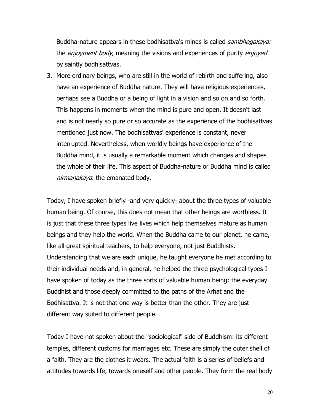Buddha-nature appears in these bodhisattva's minds is called *sambhogakaya:* the *enjoyment body*, meaning the visions and experiences of purity *enjoyed* by saintly bodhisattvas.

3. More ordinary beings, who are still in the world of rebirth and suffering, also have an experience of Buddha nature. They will have religious experiences, perhaps see a Buddha or a being of light in a vision and so on and so forth. This happens in moments when the mind is pure and open. It doesn't last and is not nearly so pure or so accurate as the experience of the bodhisattvas mentioned just now. The bodhisattvas' experience is constant, never interrupted. Nevertheless, when worldly beings have experience of the Buddha mind, it is usually a remarkable moment which changes and shapes the whole of their life. This aspect of Buddha-nature or Buddha mind is called nirmanakaya: the emanated body.

Today, I have spoken briefly -and very quickly- about the three types of valuable human being. Of course, this does not mean that other beings are worthless. It is just that these three types live lives which help themselves mature as human beings and they help the world. When the Buddha came to our planet, he came, like all great spiritual teachers, to help everyone, not just Buddhists. Understanding that we are each unique, he taught everyone he met according to their individual needs and, in general, he helped the three psychological types I have spoken of today as the three sorts of valuable human being: the everyday Buddhist and those deeply committed to the paths of the Arhat and the Bodhisattva. It is not that one way is better than the other. They are just different way suited to different people.

Today I have not spoken about the "sociological" side of Buddhism: its different temples, different customs for marriages etc. These are simply the outer shell of a faith. They are the clothes it wears. The actual faith is a series of beliefs and attitudes towards life, towards oneself and other people. They form the real body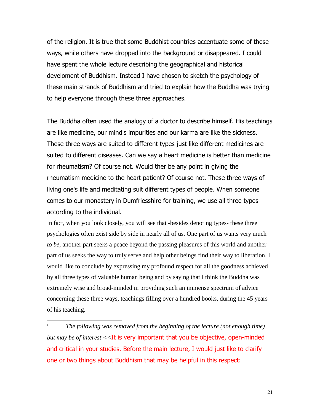of the religion. It is true that some Buddhist countries accentuate some of these ways, while others have dropped into the background or disappeared. I could have spent the whole lecture describing the geographical and historical develoment of Buddhism. Instead I have chosen to sketch the psychology of these main strands of Buddhism and tried to explain how the Buddha was trying to help everyone through these three approaches.

The Buddha often used the analogy of a doctor to describe himself. His teachings are like medicine, our mind's impurities and our karma are like the sickness. These three ways are suited to different types just like different medicines are suited to different diseases. Can we say a heart medicine is better than medicine for rheumatism? Of course not. Would ther be any point in giving the rheumatism medicine to the heart patient? Of course not. These three ways of living one's life and meditating suit different types of people. When someone comes to our monastery in Dumfriesshire for training, we use all three types according to the individual.

In fact, when you look closely, you will see that -besides denoting types- these three psychologies often exist side by side in nearly all of us. One part of us wants very much *to be*, another part seeks a peace beyond the passing pleasures of this world and another part of us seeks the way to truly serve and help other beings find their way to liberation. I would like to conclude by expressing my profound respect for all the goodness achieved by all three types of valuable human being and by saying that I think the Buddha was extremely wise and broad-minded in providing such an immense spectrum of advice concerning these three ways, teachings filling over a hundred books, during the 45 years of his teaching.

l

i *The following was removed from the beginning of the lecture (not enough time) but may be of interest <<*It is very important that you be objective, open-minded and critical in your studies. Before the main lecture, I would just like to clarify one or two things about Buddhism that may be helpful in this respect: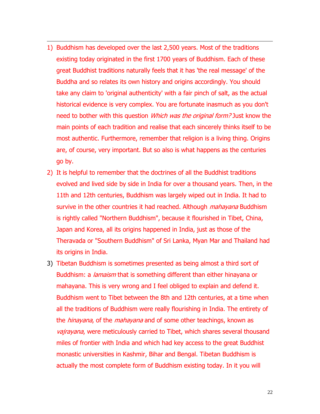1) Buddhism has developed over the last 2,500 years. Most of the traditions existing today originated in the first 1700 years of Buddhism. Each of these great Buddhist traditions naturally feels that it has 'the real message' of the Buddha and so relates its own history and origins accordingly. You should take any claim to 'original authenticity' with a fair pinch of salt, as the actual historical evidence is very complex. You are fortunate inasmuch as you don't need to bother with this question *Which was the original form?* Just know the main points of each tradition and realise that each sincerely thinks itself to be most authentic. Furthermore, remember that religion is a living thing. Origins are, of course, very important. But so also is what happens as the centuries go by.

 $\overline{a}$ 

- 2) It is helpful to remember that the doctrines of all the Buddhist traditions evolved and lived side by side in India for over a thousand years. Then, in the 11th and 12th centuries, Buddhism was largely wiped out in India. It had to survive in the other countries it had reached. Although *mahayana* Buddhism is rightly called "Northern Buddhism", because it flourished in Tibet, China, Japan and Korea, all its origins happened in India, just as those of the Theravada or "Southern Buddhism" of Sri Lanka, Myan Mar and Thailand had its origins in India.
- 3) Tibetan Buddhism is sometimes presented as being almost a third sort of Buddhism: a *lamaism* that is something different than either hinayana or mahayana. This is very wrong and I feel obliged to explain and defend it. Buddhism went to Tibet between the 8th and 12th centuries, at a time when all the traditions of Buddhism were really flourishing in India. The entirety of the *hinayana*, of the *mahayana* and of some other teachings, known as vajrayana, were meticulously carried to Tibet, which shares several thousand miles of frontier with India and which had key access to the great Buddhist monastic universities in Kashmir, Bihar and Bengal. Tibetan Buddhism is actually the most complete form of Buddhism existing today. In it you will